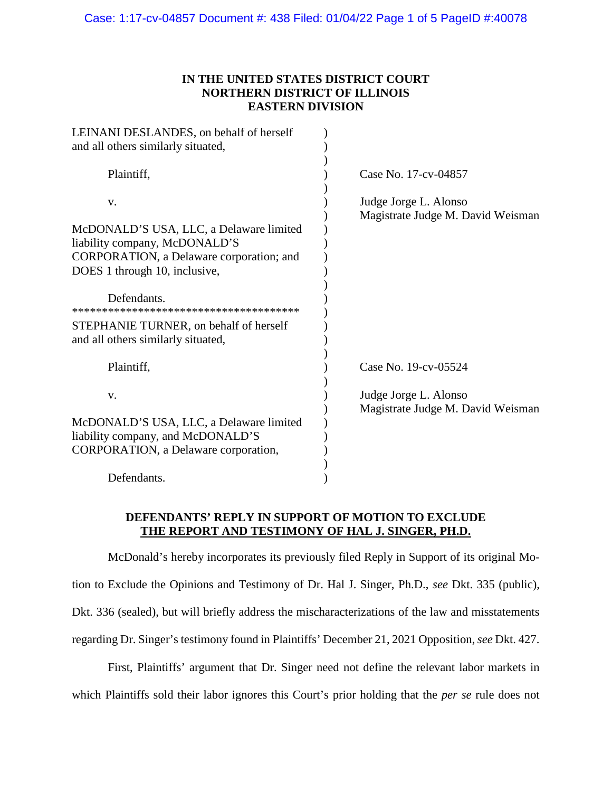# **IN THE UNITED STATES DISTRICT COURT NORTHERN DISTRICT OF ILLINOIS EASTERN DIVISION**

| LEINANI DESLANDES, on behalf of herself<br>and all others similarly situated,                                                                         |                                                            |
|-------------------------------------------------------------------------------------------------------------------------------------------------------|------------------------------------------------------------|
|                                                                                                                                                       |                                                            |
| Plaintiff,                                                                                                                                            | Case No. 17-cv-04857                                       |
| V.                                                                                                                                                    | Judge Jorge L. Alonso<br>Magistrate Judge M. David Weisman |
| McDONALD'S USA, LLC, a Delaware limited<br>liability company, McDONALD'S<br>CORPORATION, a Delaware corporation; and<br>DOES 1 through 10, inclusive, |                                                            |
| Defendants.                                                                                                                                           |                                                            |
| STEPHANIE TURNER, on behalf of herself<br>and all others similarly situated,                                                                          |                                                            |
| Plaintiff,                                                                                                                                            | Case No. 19-cv-05524                                       |
| V.                                                                                                                                                    | Judge Jorge L. Alonso<br>Magistrate Judge M. David Weisman |
| McDONALD'S USA, LLC, a Delaware limited                                                                                                               |                                                            |
| liability company, and McDONALD'S                                                                                                                     |                                                            |
| CORPORATION, a Delaware corporation,                                                                                                                  |                                                            |
| Defendants.                                                                                                                                           |                                                            |

## **DEFENDANTS' REPLY IN SUPPORT OF MOTION TO EXCLUDE THE REPORT AND TESTIMONY OF HAL J. SINGER, PH.D.**

McDonald's hereby incorporates its previously filed Reply in Support of its original Motion to Exclude the Opinions and Testimony of Dr. Hal J. Singer, Ph.D., *see* Dkt. 335 (public), Dkt. 336 (sealed), but will briefly address the mischaracterizations of the law and misstatements regarding Dr. Singer's testimony found in Plaintiffs' December 21, 2021 Opposition, *see* Dkt. 427.

 First, Plaintiffs' argument that Dr. Singer need not define the relevant labor markets in which Plaintiffs sold their labor ignores this Court's prior holding that the *per se* rule does not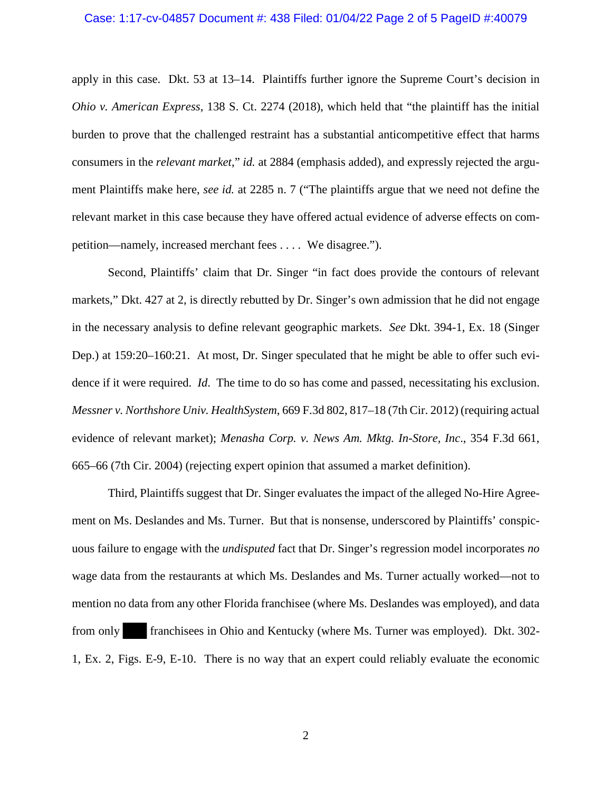#### Case: 1:17-cv-04857 Document #: 438 Filed: 01/04/22 Page 2 of 5 PageID #:40079

apply in this case.Dkt. 53 at 13–14. Plaintiffs further ignore the Supreme Court's decision in *Ohio v. American Express*, 138 S. Ct. 2274 (2018), which held that "the plaintiff has the initial burden to prove that the challenged restraint has a substantial anticompetitive effect that harms consumers in the *relevant market*," *id.* at 2884 (emphasis added), and expressly rejected the argument Plaintiffs make here, *see id.* at 2285 n. 7 ("The plaintiffs argue that we need not define the relevant market in this case because they have offered actual evidence of adverse effects on competition—namely, increased merchant fees . . . . We disagree.").

Second, Plaintiffs' claim that Dr. Singer "in fact does provide the contours of relevant markets," Dkt. 427 at 2, is directly rebutted by Dr. Singer's own admission that he did not engage in the necessary analysis to define relevant geographic markets. *See* Dkt. 394-1, Ex. 18 (Singer Dep.) at 159:20–160:21. At most, Dr. Singer speculated that he might be able to offer such evidence if it were required. *Id*. The time to do so has come and passed, necessitating his exclusion. *Messner v. Northshore Univ. HealthSystem*, 669 F.3d 802, 817–18 (7th Cir. 2012) (requiring actual evidence of relevant market); *Menasha Corp. v. News Am. Mktg. In-Store, Inc*., 354 F.3d 661, 665–66 (7th Cir. 2004) (rejecting expert opinion that assumed a market definition).

Third, Plaintiffs suggest that Dr. Singer evaluates the impact of the alleged No-Hire Agreement on Ms. Deslandes and Ms. Turner. But that is nonsense, underscored by Plaintiffs' conspicuous failure to engage with the *undisputed* fact that Dr. Singer's regression model incorporates *no*  wage data from the restaurants at which Ms. Deslandes and Ms. Turner actually worked—not to mention no data from any other Florida franchisee (where Ms. Deslandes was employed), and data from only franchisees in Ohio and Kentucky (where Ms. Turner was employed). Dkt. 302- 1, Ex. 2, Figs. E-9, E-10. There is no way that an expert could reliably evaluate the economic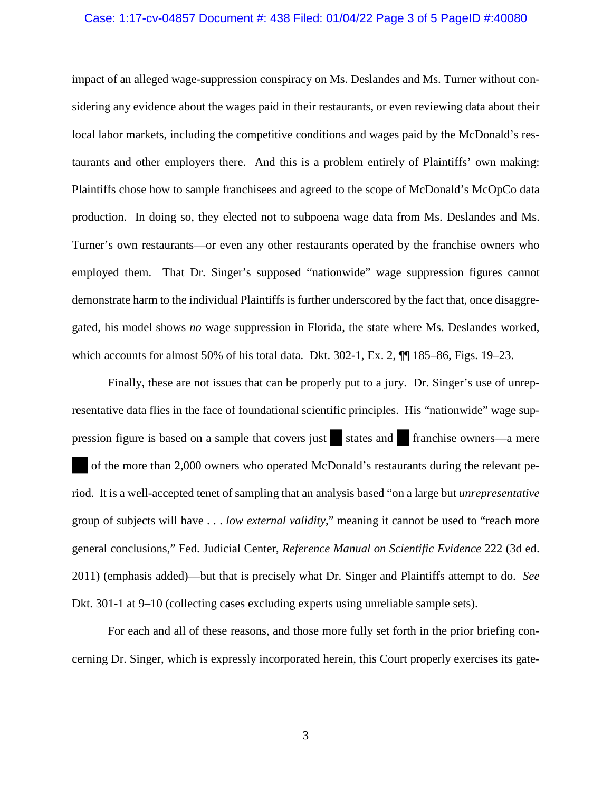#### Case: 1:17-cv-04857 Document #: 438 Filed: 01/04/22 Page 3 of 5 PageID #:40080

impact of an alleged wage-suppression conspiracy on Ms. Deslandes and Ms. Turner without considering any evidence about the wages paid in their restaurants, or even reviewing data about their local labor markets, including the competitive conditions and wages paid by the McDonald's restaurants and other employers there. And this is a problem entirely of Plaintiffs' own making: Plaintiffs chose how to sample franchisees and agreed to the scope of McDonald's McOpCo data production. In doing so, they elected not to subpoena wage data from Ms. Deslandes and Ms. Turner's own restaurants—or even any other restaurants operated by the franchise owners who employed them. That Dr. Singer's supposed "nationwide" wage suppression figures cannot demonstrate harm to the individual Plaintiffs is further underscored by the fact that, once disaggregated, his model shows *no* wage suppression in Florida, the state where Ms. Deslandes worked, which accounts for almost 50% of his total data. Dkt.  $302-1$ , Ex. 2,  $\P$  $[185-86,$  Figs.  $19-23$ .

Finally, these are not issues that can be properly put to a jury. Dr. Singer's use of unrepresentative data flies in the face of foundational scientific principles. His "nationwide" wage suppression figure is based on a sample that covers just states and franchise owners—a mere of the more than 2,000 owners who operated McDonald's restaurants during the relevant period. It is a well-accepted tenet of sampling that an analysis based "on a large but *unrepresentative*  group of subjects will have . . . *low external validity*," meaning it cannot be used to "reach more general conclusions," Fed. Judicial Center, *Reference Manual on Scientific Evidence* 222 (3d ed. 2011) (emphasis added)—but that is precisely what Dr. Singer and Plaintiffs attempt to do. *See*  Dkt. 301-1 at 9–10 (collecting cases excluding experts using unreliable sample sets).

For each and all of these reasons, and those more fully set forth in the prior briefing concerning Dr. Singer, which is expressly incorporated herein, this Court properly exercises its gate-

3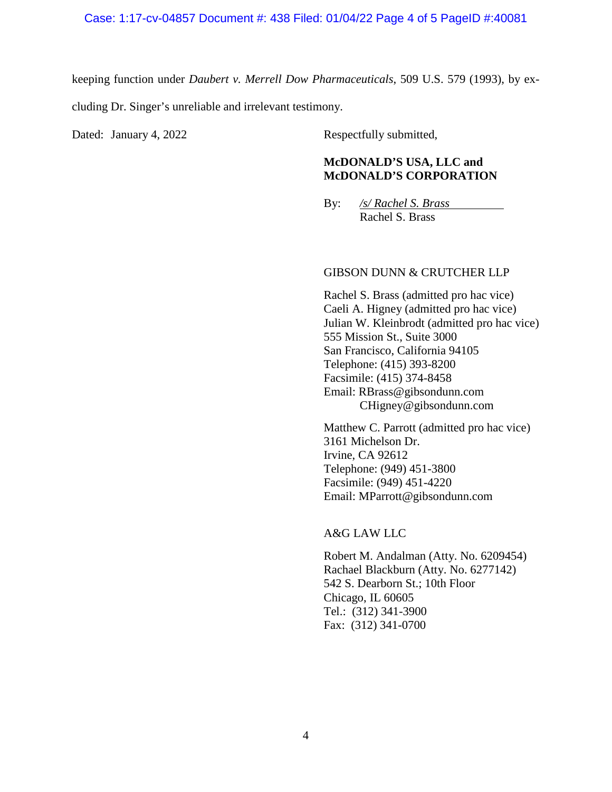keeping function under *Daubert v. Merrell Dow Pharmaceuticals*, 509 U.S. 579 (1993), by excluding Dr. Singer's unreliable and irrelevant testimony.

Dated: January 4, 2022 Respectfully submitted,

## **McDONALD'S USA, LLC and McDONALD'S CORPORATION**

By: */s/ Rachel S. Brass* Rachel S. Brass

### GIBSON DUNN & CRUTCHER LLP

Rachel S. Brass (admitted pro hac vice) Caeli A. Higney (admitted pro hac vice) Julian W. Kleinbrodt (admitted pro hac vice) 555 Mission St., Suite 3000 San Francisco, California 94105 Telephone: (415) 393-8200 Facsimile: (415) 374-8458 Email: RBrass@gibsondunn.com CHigney@gibsondunn.com

Matthew C. Parrott (admitted pro hac vice) 3161 Michelson Dr. Irvine, CA 92612 Telephone: (949) 451-3800 Facsimile: (949) 451-4220 Email: MParrott@gibsondunn.com

A&G LAW LLC

Robert M. Andalman (Atty. No. 6209454) Rachael Blackburn (Atty. No. 6277142) 542 S. Dearborn St.; 10th Floor Chicago, IL 60605 Tel.: (312) 341-3900 Fax: (312) 341-0700